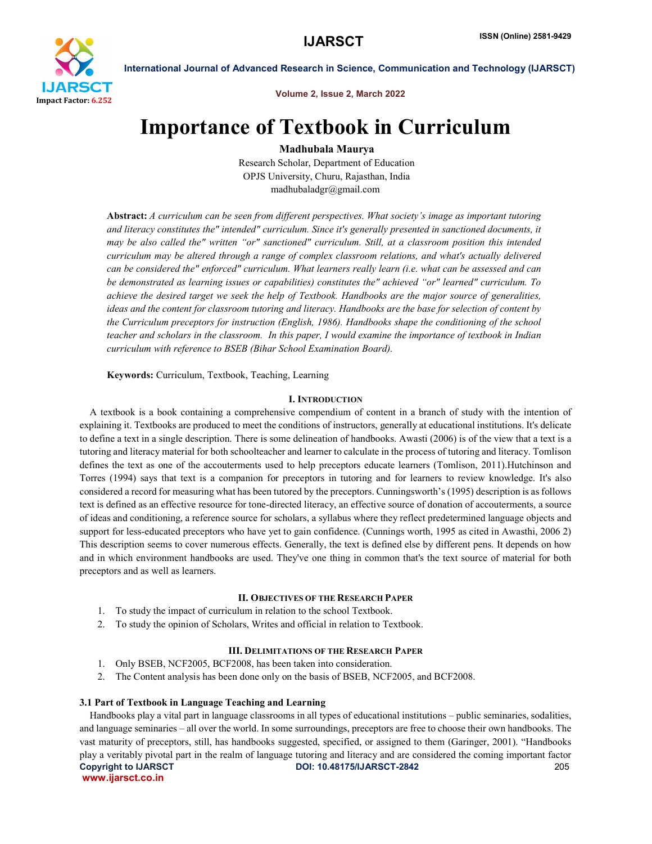

Volume 2, Issue 2, March 2022

# Importance of Textbook in Curriculum

Madhubala Maurya

Research Scholar, Department of Education OPJS University, Churu, Rajasthan, India madhubaladgr@gmail.com

Abstract: *A curriculum can be seen from different perspectives. What society's image as important tutoring and literacy constitutes the" intended" curriculum. Since it's generally presented in sanctioned documents, it may be also called the" written "or" sanctioned" curriculum. Still, at a classroom position this intended curriculum may be altered through a range of complex classroom relations, and what's actually delivered can be considered the" enforced" curriculum. What learners really learn (i.e. what can be assessed and can be demonstrated as learning issues or capabilities) constitutes the" achieved "or" learned" curriculum. To achieve the desired target we seek the help of Textbook. Handbooks are the major source of generalities, ideas and the content for classroom tutoring and literacy. Handbooks are the base for selection of content by the Curriculum preceptors for instruction (English, 1986). Handbooks shape the conditioning of the school teacher and scholars in the classroom. In this paper, I would examine the importance of textbook in Indian curriculum with reference to BSEB (Bihar School Examination Board).*

Keywords: Curriculum, Textbook, Teaching, Learning

## I. INTRODUCTION

 A textbook is a book containing a comprehensive compendium of content in a branch of study with the intention of explaining it. Textbooks are produced to meet the conditions of instructors, generally at educational institutions. It's delicate to define a text in a single description. There is some delineation of handbooks. Awasti (2006) is of the view that a text is a tutoring and literacy material for both schoolteacher and learner to calculate in the process of tutoring and literacy. Tomlison defines the text as one of the accouterments used to help preceptors educate learners (Tomlison, 2011).Hutchinson and Torres (1994) says that text is a companion for preceptors in tutoring and for learners to review knowledge. It's also considered a record for measuring what has been tutored by the preceptors. Cunningsworth's (1995) description is as follows text is defined as an effective resource for tone-directed literacy, an effective source of donation of accouterments, a source of ideas and conditioning, a reference source for scholars, a syllabus where they reflect predetermined language objects and support for less-educated preceptors who have yet to gain confidence. (Cunnings worth, 1995 as cited in Awasthi, 2006 2) This description seems to cover numerous effects. Generally, the text is defined else by different pens. It depends on how and in which environment handbooks are used. They've one thing in common that's the text source of material for both preceptors and as well as learners.

# II. OBJECTIVES OF THE RESEARCH PAPER

- 1. To study the impact of curriculum in relation to the school Textbook.
- 2. To study the opinion of Scholars, Writes and official in relation to Textbook.

# III. DELIMITATIONS OF THE RESEARCH PAPER

- 1. Only BSEB, NCF2005, BCF2008, has been taken into consideration.
- 2. The Content analysis has been done only on the basis of BSEB, NCF2005, and BCF2008.

### 3.1 Part of Textbook in Language Teaching and Learning

Copyright to IJARSCT DOI: 10.48175/IJARSCT-2842 205 www.ijarsct.co.in Handbooks play a vital part in language classrooms in all types of educational institutions – public seminaries, sodalities, and language seminaries – all over the world. In some surroundings, preceptors are free to choose their own handbooks. The vast maturity of preceptors, still, has handbooks suggested, specified, or assigned to them (Garinger, 2001). "Handbooks play a veritably pivotal part in the realm of language tutoring and literacy and are considered the coming important factor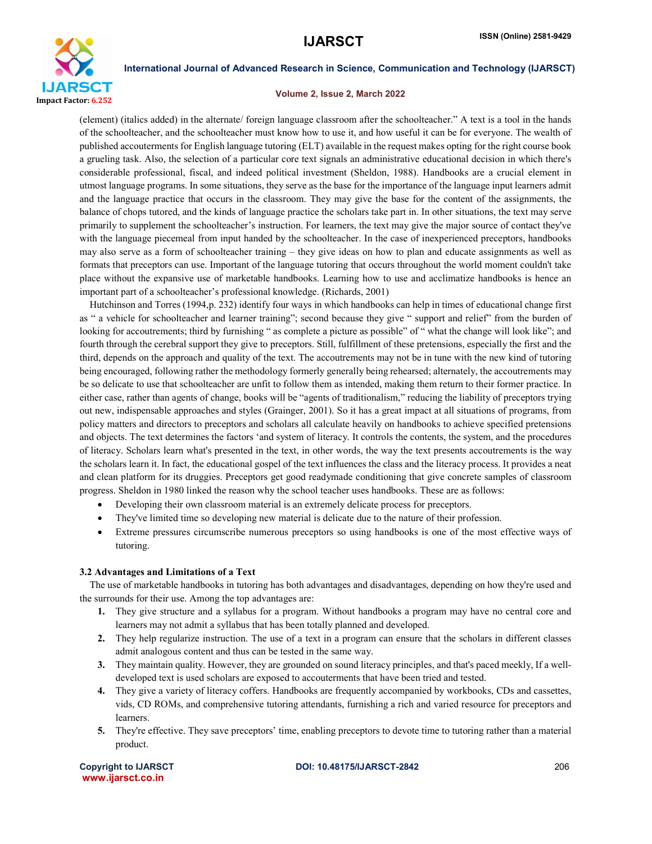

#### Volume 2, Issue 2, March 2022

(element) (italics added) in the alternate/ foreign language classroom after the schoolteacher." A text is a tool in the hands of the schoolteacher, and the schoolteacher must know how to use it, and how useful it can be for everyone. The wealth of published accouterments for English language tutoring (ELT) available in the request makes opting for the right course book a grueling task. Also, the selection of a particular core text signals an administrative educational decision in which there's considerable professional, fiscal, and indeed political investment (Sheldon, 1988). Handbooks are a crucial element in utmost language programs. In some situations, they serve as the base for the importance of the language input learners admit and the language practice that occurs in the classroom. They may give the base for the content of the assignments, the balance of chops tutored, and the kinds of language practice the scholars take part in. In other situations, the text may serve primarily to supplement the schoolteacher's instruction. For learners, the text may give the major source of contact they've with the language piecemeal from input handed by the schoolteacher. In the case of inexperienced preceptors, handbooks may also serve as a form of schoolteacher training – they give ideas on how to plan and educate assignments as well as formats that preceptors can use. Important of the language tutoring that occurs throughout the world moment couldn't take place without the expansive use of marketable handbooks. Learning how to use and acclimatize handbooks is hence an important part of a schoolteacher's professional knowledge. (Richards, 2001)

 Hutchinson and Torres (1994,p. 232) identify four ways in which handbooks can help in times of educational change first as " a vehicle for schoolteacher and learner training"; second because they give " support and relief" from the burden of looking for accoutrements; third by furnishing " as complete a picture as possible" of " what the change will look like"; and fourth through the cerebral support they give to preceptors. Still, fulfillment of these pretensions, especially the first and the third, depends on the approach and quality of the text. The accoutrements may not be in tune with the new kind of tutoring being encouraged, following rather the methodology formerly generally being rehearsed; alternately, the accoutrements may be so delicate to use that schoolteacher are unfit to follow them as intended, making them return to their former practice. In either case, rather than agents of change, books will be "agents of traditionalism," reducing the liability of preceptors trying out new, indispensable approaches and styles (Grainger, 2001). So it has a great impact at all situations of programs, from policy matters and directors to preceptors and scholars all calculate heavily on handbooks to achieve specified pretensions and objects. The text determines the factors 'and system of literacy. It controls the contents, the system, and the procedures of literacy. Scholars learn what's presented in the text, in other words, the way the text presents accoutrements is the way the scholars learn it. In fact, the educational gospel of the text influences the class and the literacy process. It provides a neat and clean platform for its druggies. Preceptors get good readymade conditioning that give concrete samples of classroom progress. Sheldon in 1980 linked the reason why the school teacher uses handbooks. These are as follows:

- Developing their own classroom material is an extremely delicate process for preceptors.
- They've limited time so developing new material is delicate due to the nature of their profession.
- Extreme pressures circumscribe numerous preceptors so using handbooks is one of the most effective ways of tutoring.

### 3.2 Advantages and Limitations of a Text

 The use of marketable handbooks in tutoring has both advantages and disadvantages, depending on how they're used and the surrounds for their use. Among the top advantages are:

- 1. They give structure and a syllabus for a program. Without handbooks a program may have no central core and learners may not admit a syllabus that has been totally planned and developed.
- 2. They help regularize instruction. The use of a text in a program can ensure that the scholars in different classes admit analogous content and thus can be tested in the same way.
- 3. They maintain quality. However, they are grounded on sound literacy principles, and that's paced meekly, If a welldeveloped text is used scholars are exposed to accouterments that have been tried and tested.
- 4. They give a variety of literacy coffers. Handbooks are frequently accompanied by workbooks, CDs and cassettes, vids, CD ROMs, and comprehensive tutoring attendants, furnishing a rich and varied resource for preceptors and learners.
- 5. They're effective. They save preceptors' time, enabling preceptors to devote time to tutoring rather than a material product.

www.ijarsct.co.in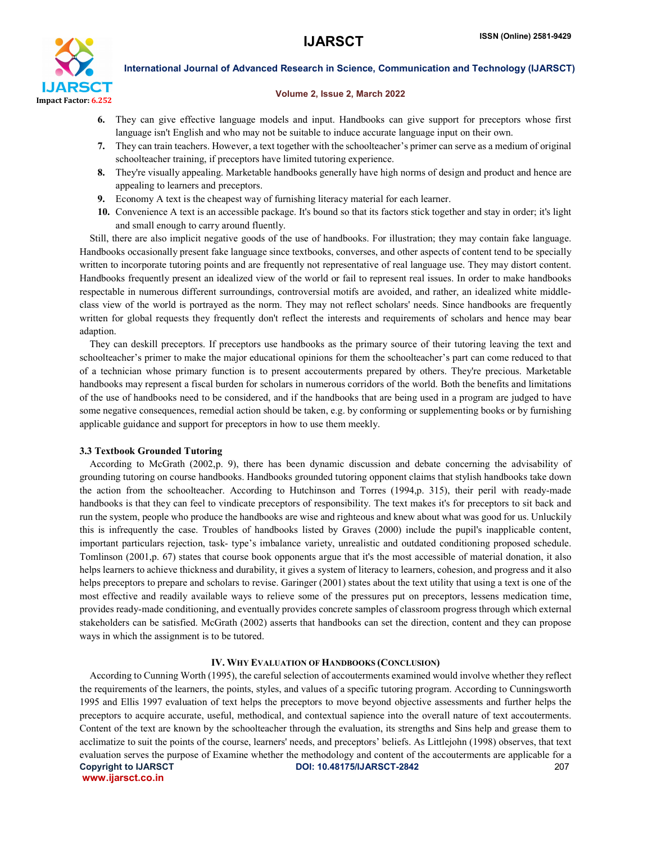

#### Volume 2, Issue 2, March 2022

- 6. They can give effective language models and input. Handbooks can give support for preceptors whose first language isn't English and who may not be suitable to induce accurate language input on their own.
- 7. They can train teachers. However, a text together with the schoolteacher's primer can serve as a medium of original schoolteacher training, if preceptors have limited tutoring experience.
- 8. They're visually appealing. Marketable handbooks generally have high norms of design and product and hence are appealing to learners and preceptors.
- 9. Economy A text is the cheapest way of furnishing literacy material for each learner.
- 10. Convenience A text is an accessible package. It's bound so that its factors stick together and stay in order; it's light and small enough to carry around fluently.

 Still, there are also implicit negative goods of the use of handbooks. For illustration; they may contain fake language. Handbooks occasionally present fake language since textbooks, converses, and other aspects of content tend to be specially written to incorporate tutoring points and are frequently not representative of real language use. They may distort content. Handbooks frequently present an idealized view of the world or fail to represent real issues. In order to make handbooks respectable in numerous different surroundings, controversial motifs are avoided, and rather, an idealized white middleclass view of the world is portrayed as the norm. They may not reflect scholars' needs. Since handbooks are frequently written for global requests they frequently don't reflect the interests and requirements of scholars and hence may bear adaption.

 They can deskill preceptors. If preceptors use handbooks as the primary source of their tutoring leaving the text and schoolteacher's primer to make the major educational opinions for them the schoolteacher's part can come reduced to that of a technician whose primary function is to present accouterments prepared by others. They're precious. Marketable handbooks may represent a fiscal burden for scholars in numerous corridors of the world. Both the benefits and limitations of the use of handbooks need to be considered, and if the handbooks that are being used in a program are judged to have some negative consequences, remedial action should be taken, e.g. by conforming or supplementing books or by furnishing applicable guidance and support for preceptors in how to use them meekly.

#### 3.3 Textbook Grounded Tutoring

 According to McGrath (2002,p. 9), there has been dynamic discussion and debate concerning the advisability of grounding tutoring on course handbooks. Handbooks grounded tutoring opponent claims that stylish handbooks take down the action from the schoolteacher. According to Hutchinson and Torres (1994,p. 315), their peril with ready-made handbooks is that they can feel to vindicate preceptors of responsibility. The text makes it's for preceptors to sit back and run the system, people who produce the handbooks are wise and righteous and knew about what was good for us. Unluckily this is infrequently the case. Troubles of handbooks listed by Graves (2000) include the pupil's inapplicable content, important particulars rejection, task- type's imbalance variety, unrealistic and outdated conditioning proposed schedule. Tomlinson (2001,p. 67) states that course book opponents argue that it's the most accessible of material donation, it also helps learners to achieve thickness and durability, it gives a system of literacy to learners, cohesion, and progress and it also helps preceptors to prepare and scholars to revise. Garinger (2001) states about the text utility that using a text is one of the most effective and readily available ways to relieve some of the pressures put on preceptors, lessens medication time, provides ready-made conditioning, and eventually provides concrete samples of classroom progress through which external stakeholders can be satisfied. McGrath (2002) asserts that handbooks can set the direction, content and they can propose ways in which the assignment is to be tutored.

#### IV. WHY EVALUATION OF HANDBOOKS (CONCLUSION)

Copyright to IJARSCT DOI: 10.48175/IJARSCT-2842 207 www.ijarsct.co.in According to Cunning Worth (1995), the careful selection of accouterments examined would involve whether they reflect the requirements of the learners, the points, styles, and values of a specific tutoring program. According to Cunningsworth 1995 and Ellis 1997 evaluation of text helps the preceptors to move beyond objective assessments and further helps the preceptors to acquire accurate, useful, methodical, and contextual sapience into the overall nature of text accouterments. Content of the text are known by the schoolteacher through the evaluation, its strengths and Sins help and grease them to acclimatize to suit the points of the course, learners' needs, and preceptors' beliefs. As Littlejohn (1998) observes, that text evaluation serves the purpose of Examine whether the methodology and content of the accouterments are applicable for a